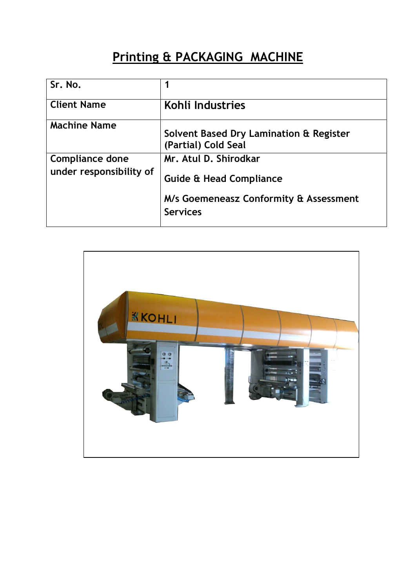## **Printing & PACKAGING MACHINE**

| Sr. No.                 | 1                                                              |
|-------------------------|----------------------------------------------------------------|
| <b>Client Name</b>      | Kohli Industries                                               |
| <b>Machine Name</b>     | Solvent Based Dry Lamination & Register<br>(Partial) Cold Seal |
| <b>Compliance done</b>  | Mr. Atul D. Shirodkar                                          |
| under responsibility of | <b>Guide &amp; Head Compliance</b>                             |
|                         | M/s Goemeneasz Conformity & Assessment<br><b>Services</b>      |

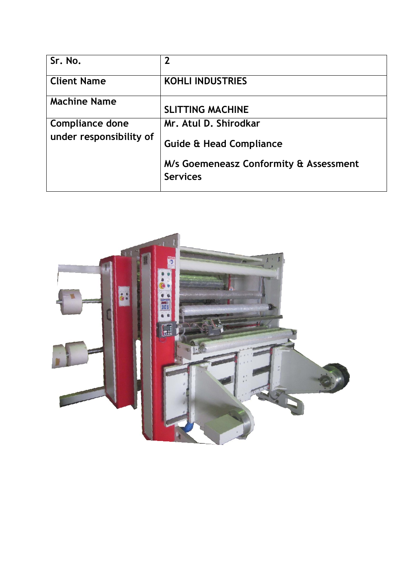| Sr. No.                 | $\overline{2}$                                            |
|-------------------------|-----------------------------------------------------------|
| <b>Client Name</b>      | <b>KOHLI INDUSTRIES</b>                                   |
| <b>Machine Name</b>     | <b>SLITTING MACHINE</b>                                   |
| <b>Compliance done</b>  | Mr. Atul D. Shirodkar                                     |
| under responsibility of | <b>Guide &amp; Head Compliance</b>                        |
|                         | M/s Goemeneasz Conformity & Assessment<br><b>Services</b> |

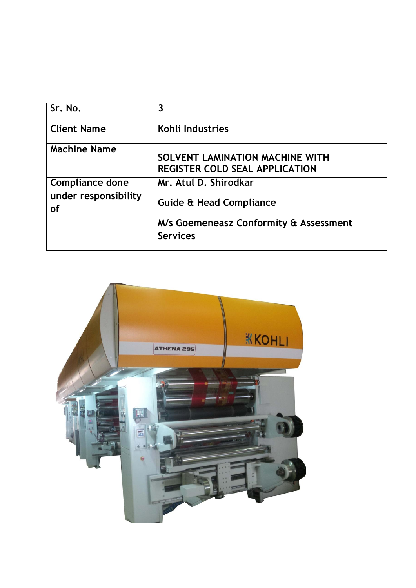| Sr. No.                                                     | 3                                                                        |
|-------------------------------------------------------------|--------------------------------------------------------------------------|
| <b>Client Name</b>                                          | Kohli Industries                                                         |
| <b>Machine Name</b>                                         | SOLVENT LAMINATION MACHINE WITH<br><b>REGISTER COLD SEAL APPLICATION</b> |
| <b>Compliance done</b><br>under responsibility<br><b>of</b> | Mr. Atul D. Shirodkar<br><b>Guide &amp; Head Compliance</b>              |
|                                                             | M/s Goemeneasz Conformity & Assessment<br><b>Services</b>                |

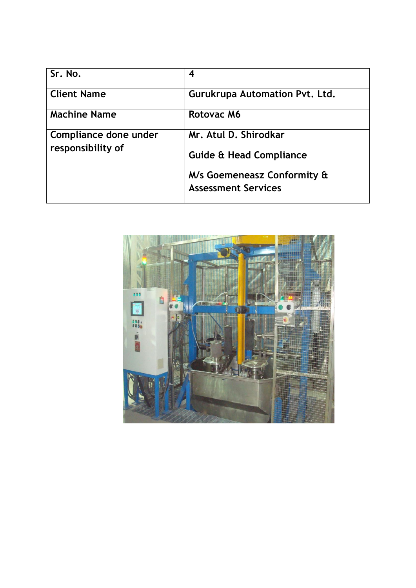| 4                                                         |
|-----------------------------------------------------------|
| <b>Gurukrupa Automation Pvt. Ltd.</b>                     |
| Rotovac M6                                                |
| Mr. Atul D. Shirodkar                                     |
| <b>Guide &amp; Head Compliance</b>                        |
| M/s Goemeneasz Conformity &<br><b>Assessment Services</b> |
|                                                           |

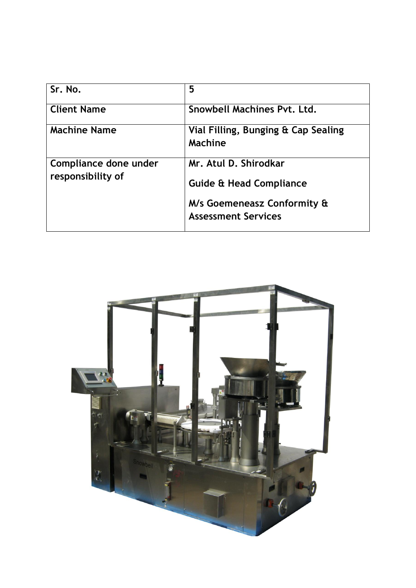| Sr. No.                                    | 5                                                                    |
|--------------------------------------------|----------------------------------------------------------------------|
| <b>Client Name</b>                         | Snowbell Machines Pvt. Ltd.                                          |
| <b>Machine Name</b>                        | Vial Filling, Bunging & Cap Sealing<br>Machine                       |
| Compliance done under<br>responsibility of | Mr. Atul D. Shirodkar<br><b>Guide &amp; Head Compliance</b>          |
|                                            | <b>M/s Goemeneasz Conformity &amp;</b><br><b>Assessment Services</b> |

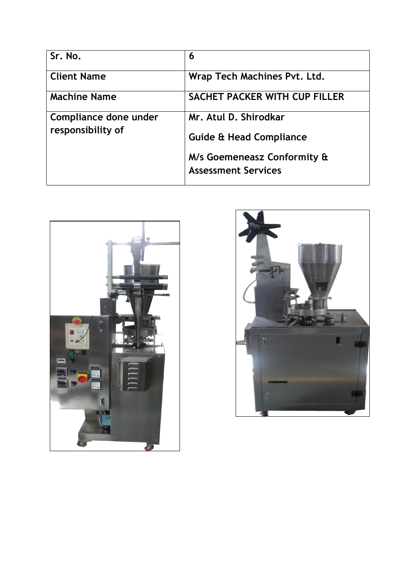| Sr. No.               | 6                                                         |
|-----------------------|-----------------------------------------------------------|
| <b>Client Name</b>    | Wrap Tech Machines Pvt. Ltd.                              |
| <b>Machine Name</b>   | SACHET PACKER WITH CUP FILLER                             |
| Compliance done under | Mr. Atul D. Shirodkar                                     |
| responsibility of     | <b>Guide &amp; Head Compliance</b>                        |
|                       | M/s Goemeneasz Conformity &<br><b>Assessment Services</b> |